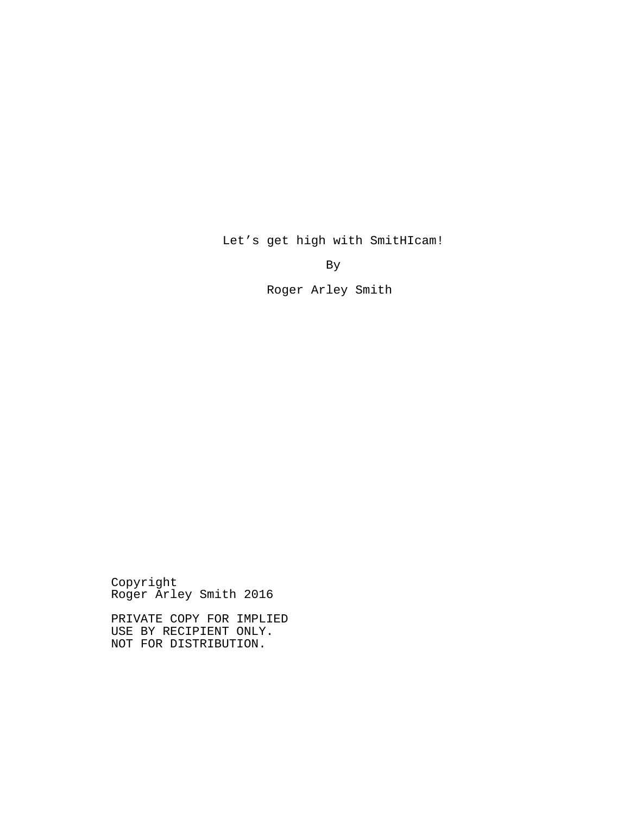By

Roger Arley Smith

Let's get high with SmitHIcam!

Copyright Roger Arley Smith 2016

PRIVATE COPY FOR IMPLIED USE BY RECIPIENT ONLY. NOT FOR DISTRIBUTION.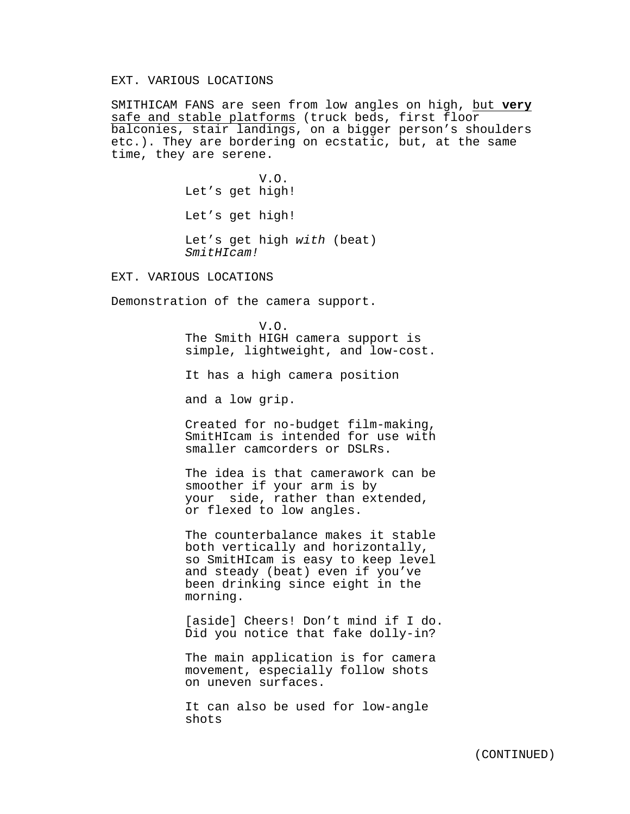## EXT. VARIOUS LOCATIONS

SMITHICAM FANS are seen from low angles on high, but **very** safe and stable platforms (truck beds, first floor balconies, stair landings, on a bigger person's shoulders etc.). They are bordering on ecstatic, but, at the same time, they are serene.

> V.O. Let's get high! Let's get high! Let's get high *with* (beat) *SmitHIcam!*

EXT. VARIOUS LOCATIONS

Demonstration of the camera support.

V.O. The Smith HIGH camera support is simple, lightweight, and low-cost.

It has a high camera position

and a low grip.

Created for no-budget film-making, SmitHIcam is intended for use with smaller camcorders or DSLRs.

The idea is that camerawork can be smoother if your arm is by your side, rather than extended, or flexed to low angles.

The counterbalance makes it stable both vertically and horizontally, so SmitHIcam is easy to keep level and steady (beat) even if you've been drinking since eight in the morning.

[aside] Cheers! Don't mind if I do. Did you notice that fake dolly-in?

The main application is for camera movement, especially follow shots on uneven surfaces.

It can also be used for low-angle shots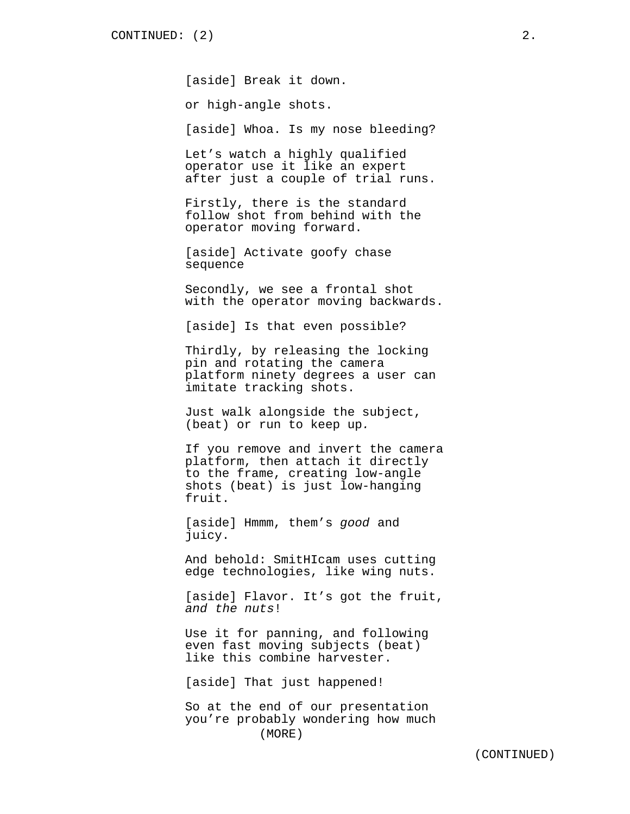[aside] Break it down.

or high-angle shots.

[aside] Whoa. Is my nose bleeding?

Let's watch a highly qualified operator use it like an expert after just a couple of trial runs.

Firstly, there is the standard follow shot from behind with the operator moving forward.

[aside] Activate goofy chase sequence

Secondly, we see a frontal shot with the operator moving backwards.

[aside] Is that even possible?

Thirdly, by releasing the locking pin and rotating the camera platform ninety degrees a user can imitate tracking shots.

Just walk alongside the subject, (beat) or run to keep up*.*

If you remove and invert the camera platform, then attach it directly to the frame, creating low-angle shots (beat) is just low-hanging fruit.

[aside] Hmmm, them's *good* and juicy.

And behold: SmitHIcam uses cutting edge technologies, like wing nuts.

[aside] Flavor. It's got the fruit, *and the nuts*!

Use it for panning, and following even fast moving subjects (beat) like this combine harvester.

[aside] That just happened!

So at the end of our presentation you're probably wondering how much (MORE)